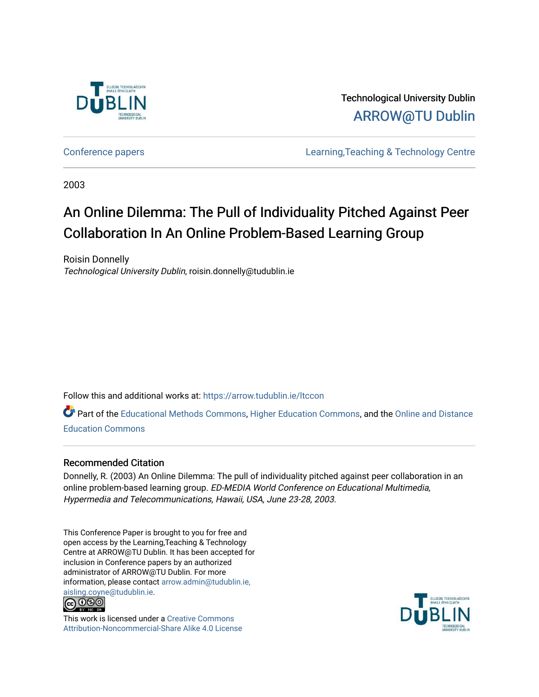

Technological University Dublin [ARROW@TU Dublin](https://arrow.tudublin.ie/) 

[Conference papers](https://arrow.tudublin.ie/ltccon) [Learning,Teaching & Technology Centre](https://arrow.tudublin.ie/ltc) 

2003

# An Online Dilemma: The Pull of Individuality Pitched Against Peer Collaboration In An Online Problem-Based Learning Group

Roisin Donnelly Technological University Dublin, roisin.donnelly@tudublin.ie

Follow this and additional works at: [https://arrow.tudublin.ie/ltccon](https://arrow.tudublin.ie/ltccon?utm_source=arrow.tudublin.ie%2Fltccon%2F21&utm_medium=PDF&utm_campaign=PDFCoverPages)

Part of the [Educational Methods Commons,](http://network.bepress.com/hgg/discipline/1227?utm_source=arrow.tudublin.ie%2Fltccon%2F21&utm_medium=PDF&utm_campaign=PDFCoverPages) [Higher Education Commons](http://network.bepress.com/hgg/discipline/1245?utm_source=arrow.tudublin.ie%2Fltccon%2F21&utm_medium=PDF&utm_campaign=PDFCoverPages), and the [Online and Distance](http://network.bepress.com/hgg/discipline/1296?utm_source=arrow.tudublin.ie%2Fltccon%2F21&utm_medium=PDF&utm_campaign=PDFCoverPages)  [Education Commons](http://network.bepress.com/hgg/discipline/1296?utm_source=arrow.tudublin.ie%2Fltccon%2F21&utm_medium=PDF&utm_campaign=PDFCoverPages) 

### Recommended Citation

Donnelly, R. (2003) An Online Dilemma: The pull of individuality pitched against peer collaboration in an online problem-based learning group. ED-MEDIA World Conference on Educational Multimedia, Hypermedia and Telecommunications, Hawaii, USA, June 23-28, 2003.

This Conference Paper is brought to you for free and open access by the Learning,Teaching & Technology Centre at ARROW@TU Dublin. It has been accepted for inclusion in Conference papers by an authorized administrator of ARROW@TU Dublin. For more information, please contact [arrow.admin@tudublin.ie,](mailto:arrow.admin@tudublin.ie,%20aisling.coyne@tudublin.ie)  [aisling.coyne@tudublin.ie.](mailto:arrow.admin@tudublin.ie,%20aisling.coyne@tudublin.ie)<br>© 090



This work is licensed under a [Creative Commons](http://creativecommons.org/licenses/by-nc-sa/4.0/) [Attribution-Noncommercial-Share Alike 4.0 License](http://creativecommons.org/licenses/by-nc-sa/4.0/)

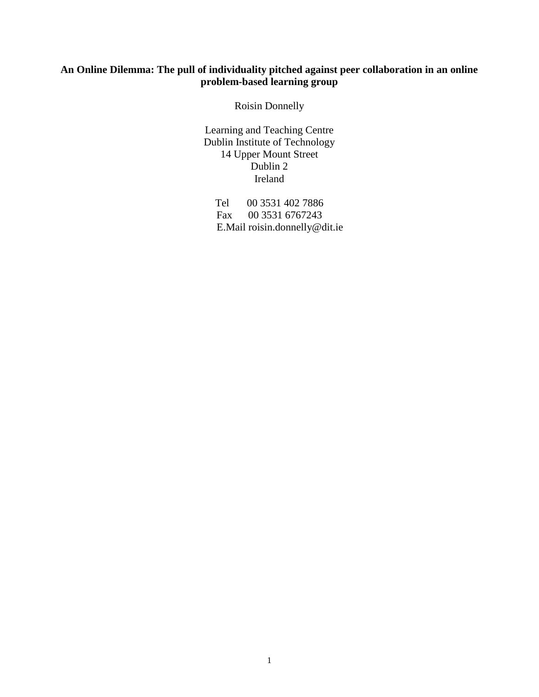### **An Online Dilemma: The pull of individuality pitched against peer collaboration in an online problem-based learning group**

Roisin Donnelly

Learning and Teaching Centre Dublin Institute of Technology 14 Upper Mount Street Dublin 2 Ireland

Tel 00 3531 402 7886 Fax 00 3531 6767243 E.Mail roisin.donnelly@dit.ie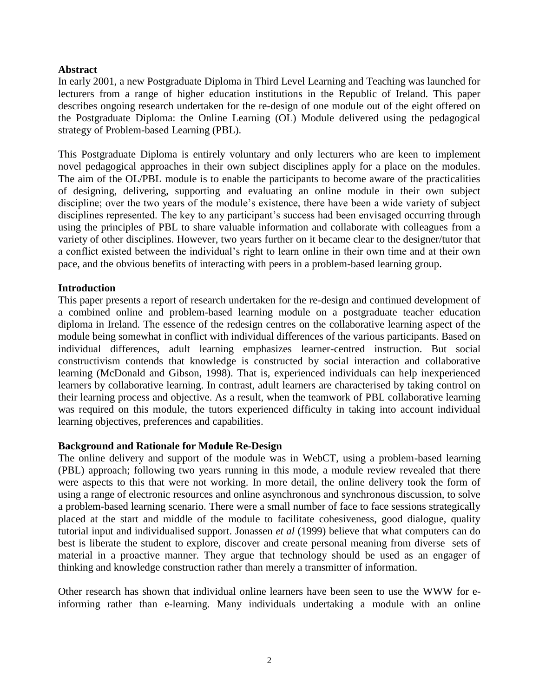#### **Abstract**

In early 2001, a new Postgraduate Diploma in Third Level Learning and Teaching was launched for lecturers from a range of higher education institutions in the Republic of Ireland. This paper describes ongoing research undertaken for the re-design of one module out of the eight offered on the Postgraduate Diploma: the Online Learning (OL) Module delivered using the pedagogical strategy of Problem-based Learning (PBL).

This Postgraduate Diploma is entirely voluntary and only lecturers who are keen to implement novel pedagogical approaches in their own subject disciplines apply for a place on the modules. The aim of the OL/PBL module is to enable the participants to become aware of the practicalities of designing, delivering, supporting and evaluating an online module in their own subject discipline; over the two years of the module's existence, there have been a wide variety of subject disciplines represented. The key to any participant's success had been envisaged occurring through using the principles of PBL to share valuable information and collaborate with colleagues from a variety of other disciplines. However, two years further on it became clear to the designer/tutor that a conflict existed between the individual's right to learn online in their own time and at their own pace, and the obvious benefits of interacting with peers in a problem-based learning group.

#### **Introduction**

This paper presents a report of research undertaken for the re-design and continued development of a combined online and problem-based learning module on a postgraduate teacher education diploma in Ireland. The essence of the redesign centres on the collaborative learning aspect of the module being somewhat in conflict with individual differences of the various participants. Based on individual differences, adult learning emphasizes learner-centred instruction. But social constructivism contends that knowledge is constructed by social interaction and collaborative learning (McDonald and Gibson, 1998). That is, experienced individuals can help inexperienced learners by collaborative learning. In contrast, adult learners are characterised by taking control on their learning process and objective. As a result, when the teamwork of PBL collaborative learning was required on this module, the tutors experienced difficulty in taking into account individual learning objectives, preferences and capabilities.

### **Background and Rationale for Module Re-Design**

The online delivery and support of the module was in WebCT, using a problem-based learning (PBL) approach; following two years running in this mode, a module review revealed that there were aspects to this that were not working. In more detail, the online delivery took the form of using a range of electronic resources and online asynchronous and synchronous discussion, to solve a problem-based learning scenario. There were a small number of face to face sessions strategically placed at the start and middle of the module to facilitate cohesiveness, good dialogue, quality tutorial input and individualised support. Jonassen *et al* (1999) believe that what computers can do best is liberate the student to explore, discover and create personal meaning from diverse sets of material in a proactive manner. They argue that technology should be used as an engager of thinking and knowledge construction rather than merely a transmitter of information.

Other research has shown that individual online learners have been seen to use the WWW for einforming rather than e-learning. Many individuals undertaking a module with an online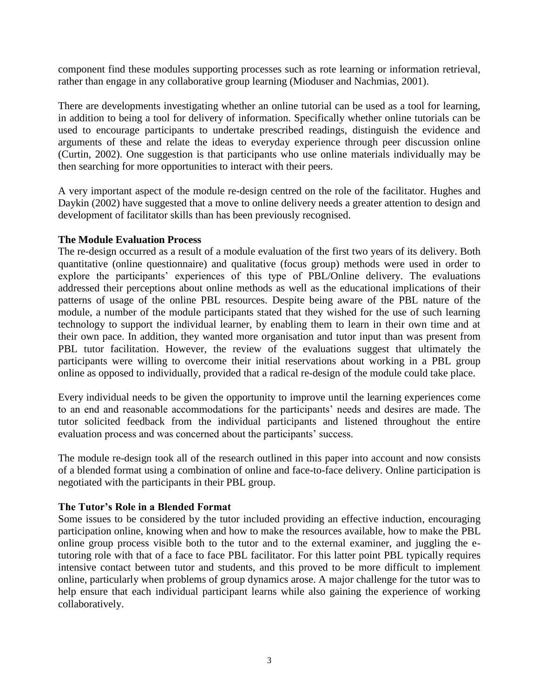component find these modules supporting processes such as rote learning or information retrieval, rather than engage in any collaborative group learning (Mioduser and Nachmias, 2001).

There are developments investigating whether an online tutorial can be used as a tool for learning, in addition to being a tool for delivery of information. Specifically whether online tutorials can be used to encourage participants to undertake prescribed readings, distinguish the evidence and arguments of these and relate the ideas to everyday experience through peer discussion online (Curtin, 2002). One suggestion is that participants who use online materials individually may be then searching for more opportunities to interact with their peers.

A very important aspect of the module re-design centred on the role of the facilitator. Hughes and Daykin (2002) have suggested that a move to online delivery needs a greater attention to design and development of facilitator skills than has been previously recognised.

### **The Module Evaluation Process**

The re-design occurred as a result of a module evaluation of the first two years of its delivery. Both quantitative (online questionnaire) and qualitative (focus group) methods were used in order to explore the participants' experiences of this type of PBL/Online delivery. The evaluations addressed their perceptions about online methods as well as the educational implications of their patterns of usage of the online PBL resources. Despite being aware of the PBL nature of the module, a number of the module participants stated that they wished for the use of such learning technology to support the individual learner, by enabling them to learn in their own time and at their own pace. In addition, they wanted more organisation and tutor input than was present from PBL tutor facilitation. However, the review of the evaluations suggest that ultimately the participants were willing to overcome their initial reservations about working in a PBL group online as opposed to individually, provided that a radical re-design of the module could take place.

Every individual needs to be given the opportunity to improve until the learning experiences come to an end and reasonable accommodations for the participants' needs and desires are made. The tutor solicited feedback from the individual participants and listened throughout the entire evaluation process and was concerned about the participants' success.

The module re-design took all of the research outlined in this paper into account and now consists of a blended format using a combination of online and face-to-face delivery. Online participation is negotiated with the participants in their PBL group.

### **The Tutor's Role in a Blended Format**

Some issues to be considered by the tutor included providing an effective induction, encouraging participation online, knowing when and how to make the resources available, how to make the PBL online group process visible both to the tutor and to the external examiner, and juggling the etutoring role with that of a face to face PBL facilitator. For this latter point PBL typically requires intensive contact between tutor and students, and this proved to be more difficult to implement online, particularly when problems of group dynamics arose. A major challenge for the tutor was to help ensure that each individual participant learns while also gaining the experience of working collaboratively.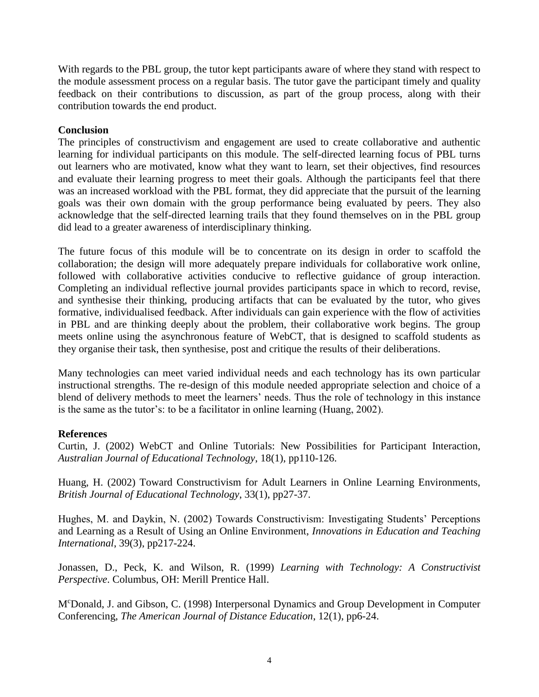With regards to the PBL group, the tutor kept participants aware of where they stand with respect to the module assessment process on a regular basis. The tutor gave the participant timely and quality feedback on their contributions to discussion, as part of the group process, along with their contribution towards the end product.

## **Conclusion**

The principles of constructivism and engagement are used to create collaborative and authentic learning for individual participants on this module. The self-directed learning focus of PBL turns out learners who are motivated, know what they want to learn, set their objectives, find resources and evaluate their learning progress to meet their goals. Although the participants feel that there was an increased workload with the PBL format, they did appreciate that the pursuit of the learning goals was their own domain with the group performance being evaluated by peers. They also acknowledge that the self-directed learning trails that they found themselves on in the PBL group did lead to a greater awareness of interdisciplinary thinking.

The future focus of this module will be to concentrate on its design in order to scaffold the collaboration; the design will more adequately prepare individuals for collaborative work online, followed with collaborative activities conducive to reflective guidance of group interaction. Completing an individual reflective journal provides participants space in which to record, revise, and synthesise their thinking, producing artifacts that can be evaluated by the tutor, who gives formative, individualised feedback. After individuals can gain experience with the flow of activities in PBL and are thinking deeply about the problem, their collaborative work begins. The group meets online using the asynchronous feature of WebCT, that is designed to scaffold students as they organise their task, then synthesise, post and critique the results of their deliberations.

Many technologies can meet varied individual needs and each technology has its own particular instructional strengths. The re-design of this module needed appropriate selection and choice of a blend of delivery methods to meet the learners' needs. Thus the role of technology in this instance is the same as the tutor's: to be a facilitator in online learning (Huang, 2002).

### **References**

Curtin, J. (2002) WebCT and Online Tutorials: New Possibilities for Participant Interaction, *Australian Journal of Educational Technology*, 18(1), pp110-126.

Huang, H. (2002) Toward Constructivism for Adult Learners in Online Learning Environments, *British Journal of Educational Technology*, 33(1), pp27-37.

Hughes, M. and Daykin, N. (2002) Towards Constructivism: Investigating Students' Perceptions and Learning as a Result of Using an Online Environment, *Innovations in Education and Teaching International*, 39(3), pp217-224.

Jonassen, D., Peck, K. and Wilson, R. (1999) *Learning with Technology: A Constructivist Perspective*. Columbus, OH: Merill Prentice Hall.

M<sup>c</sup>Donald, J. and Gibson, C. (1998) Interpersonal Dynamics and Group Development in Computer Conferencing, *The American Journal of Distance Education*, 12(1), pp6-24.